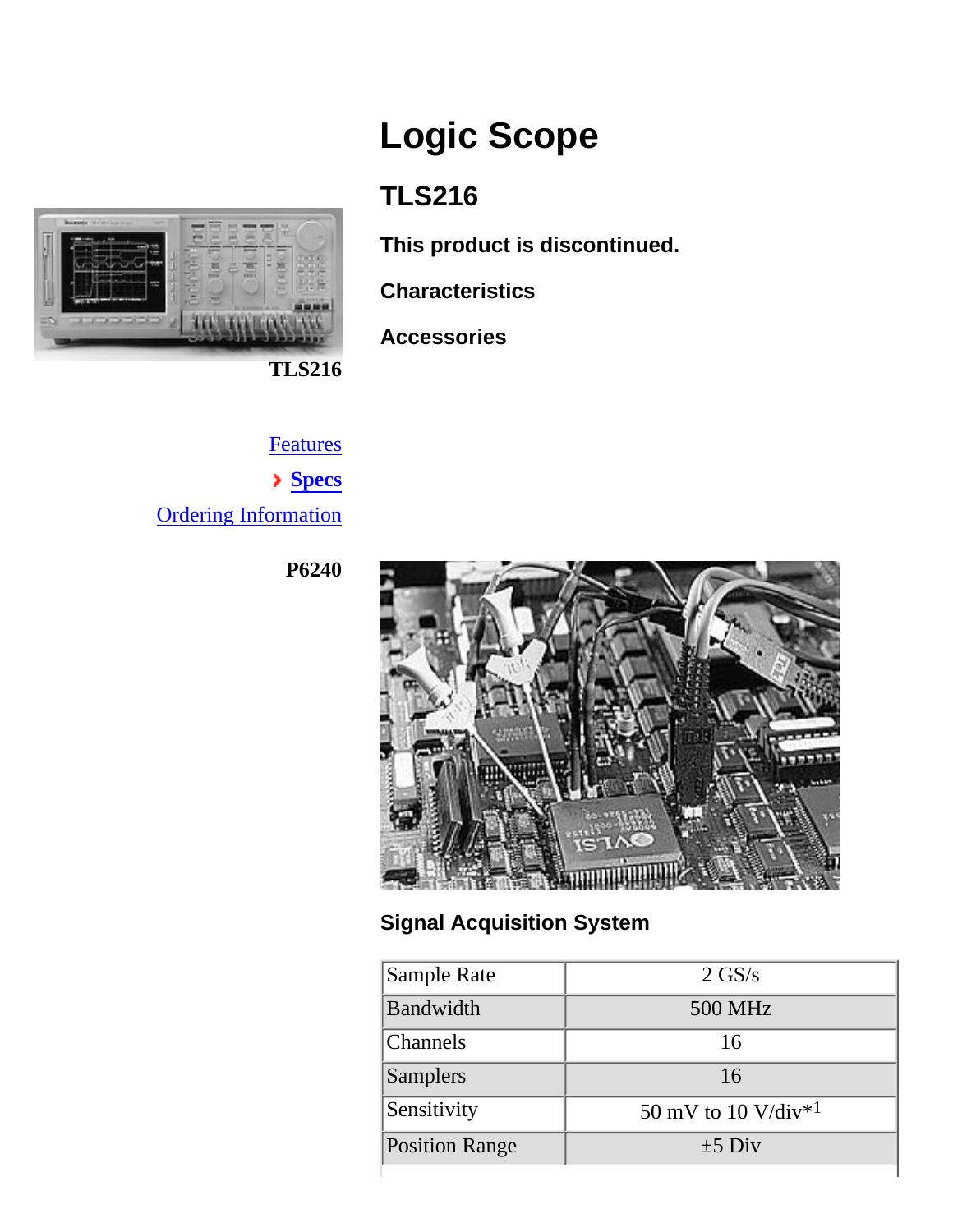<span id="page-0-0"></span>

# **Logic Scope**

## **TLS216**

**This product is discontinued.**

**Characteristics**

**Accessories**

**Features Specs** Ordering Information

**P6240**



## **Signal Acquisition System**

| Sample Rate           | $2 \text{ GS/s}$                |
|-----------------------|---------------------------------|
| Bandwidth             | 500 MHz                         |
| <b>Channels</b>       | 16                              |
| <b>Samplers</b>       | 16                              |
| Sensitivity           | 50 mV to 10 V/div <sup>*1</sup> |
| <b>Position Range</b> | $\pm 5$ Div                     |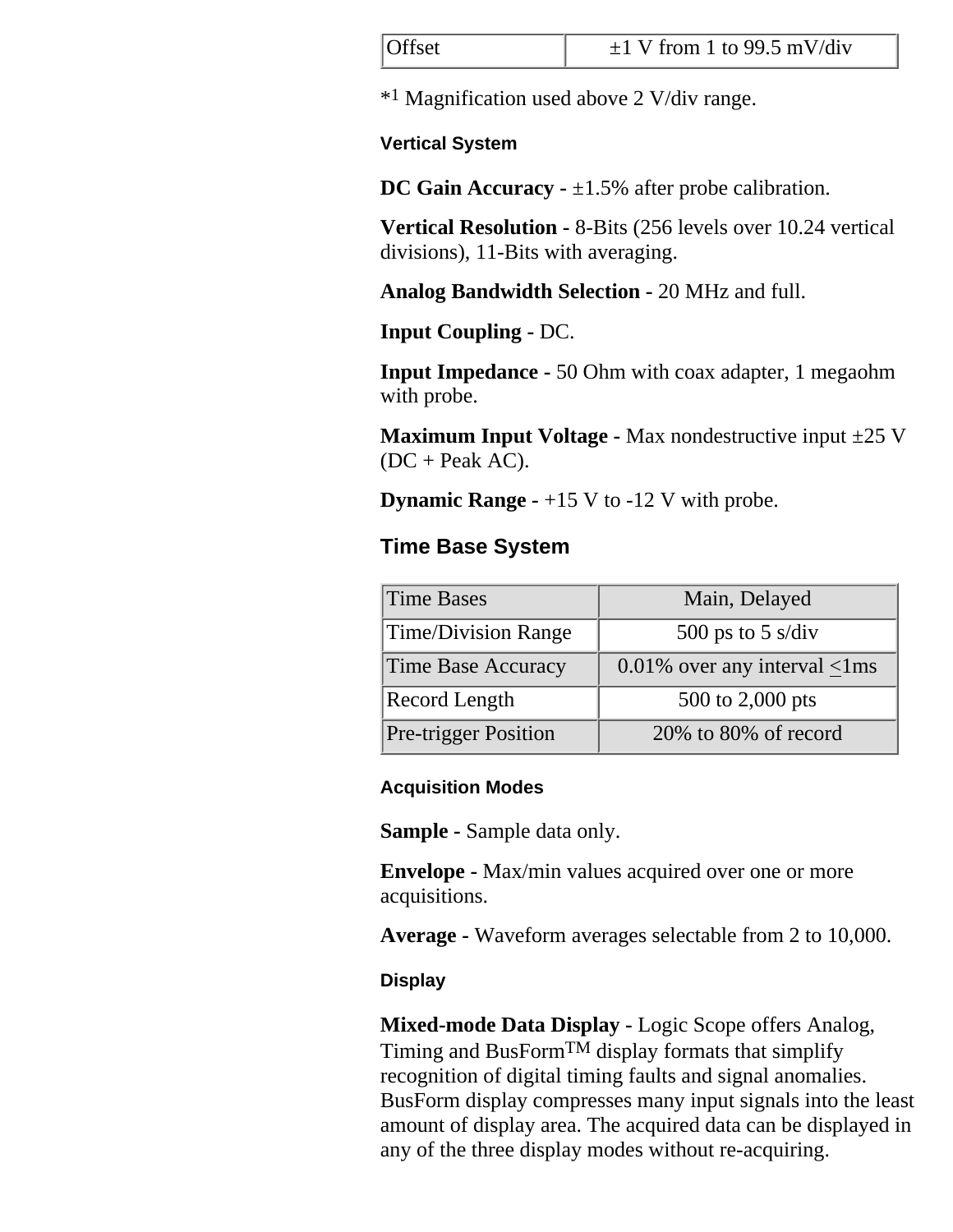| Offset | $\pm 1$ V from 1 to 99.5 mV/div |
|--------|---------------------------------|
|        |                                 |

\*1 Magnification used above 2 V/div range.

#### **Vertical System**

**DC Gain Accuracy -**  $\pm 1.5$ **% after probe calibration.** 

**Vertical Resolution -** 8-Bits (256 levels over 10.24 vertical divisions), 11-Bits with averaging.

**Analog Bandwidth Selection -** 20 MHz and full.

**Input Coupling -** DC.

**Input Impedance -** 50 Ohm with coax adapter, 1 megaohm with probe.

**Maximum Input Voltage -** Max nondestructive input ±25 V  $(DC + Peak AC)$ .

**Dynamic Range - +15 V to -12 V with probe.** 

#### **Time Base System**

| Time Bases                  | Main, Delayed                             |  |
|-----------------------------|-------------------------------------------|--|
| Time/Division Range         | 500 ps to 5 s/div                         |  |
| Time Base Accuracy          | $0.01\%$ over any interval $\langle$ 1 ms |  |
| <b>Record Length</b>        | 500 to 2,000 pts                          |  |
| <b>Pre-trigger Position</b> | $20\%$ to 80% of record                   |  |

#### **Acquisition Modes**

**Sample -** Sample data only.

**Envelope -** Max/min values acquired over one or more acquisitions.

**Average -** Waveform averages selectable from 2 to 10,000.

#### **Display**

**Mixed-mode Data Display -** Logic Scope offers Analog, Timing and BusForm<sup>TM</sup> display formats that simplify recognition of digital timing faults and signal anomalies. BusForm display compresses many input signals into the least amount of display area. The acquired data can be displayed in any of the three display modes without re-acquiring.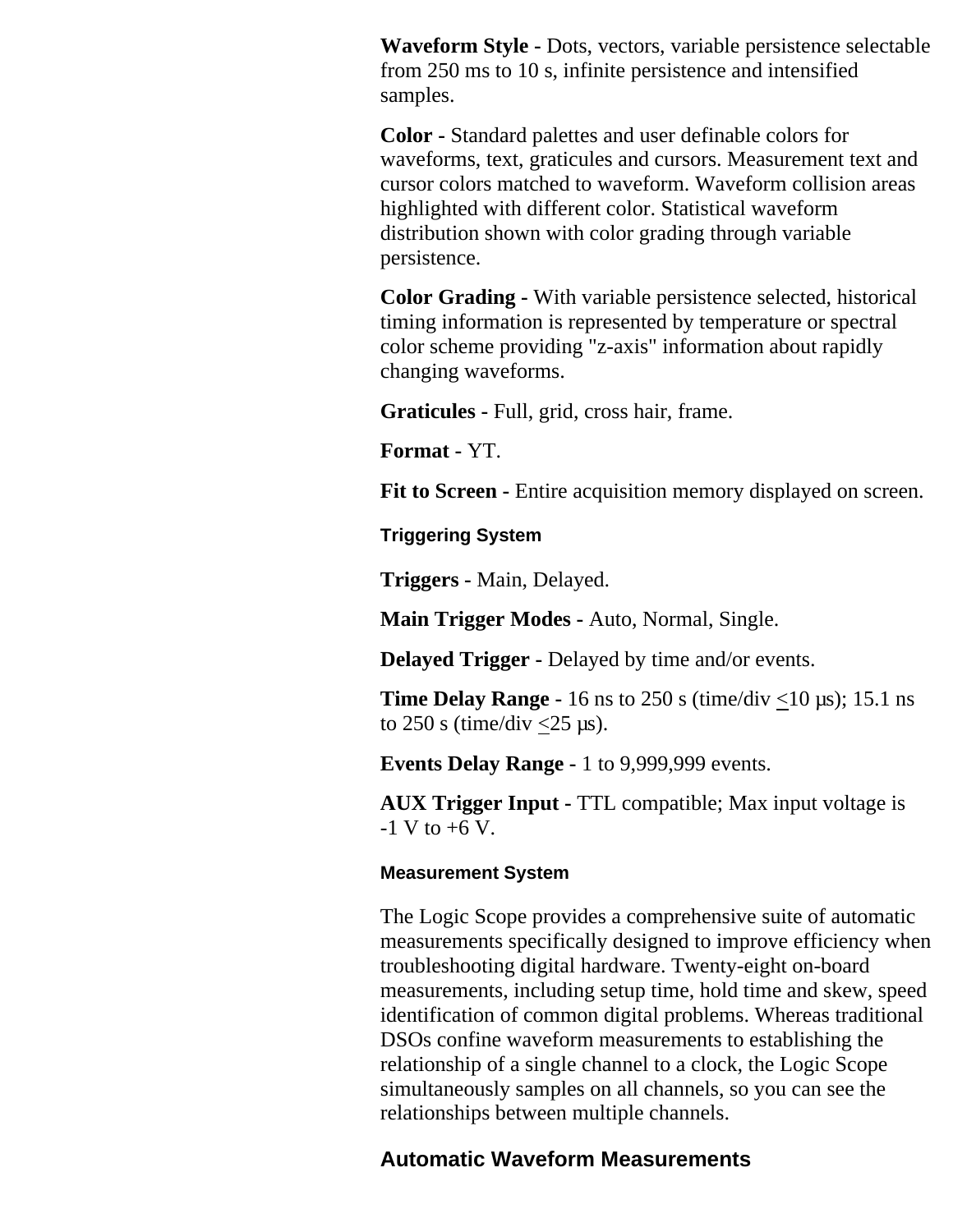**Waveform Style -** Dots, vectors, variable persistence selectable from 250 ms to 10 s, infinite persistence and intensified samples.

**Color -** Standard palettes and user definable colors for waveforms, text, graticules and cursors. Measurement text and cursor colors matched to waveform. Waveform collision areas highlighted with different color. Statistical waveform distribution shown with color grading through variable persistence.

**Color Grading -** With variable persistence selected, historical timing information is represented by temperature or spectral color scheme providing "z-axis" information about rapidly changing waveforms.

**Graticules -** Full, grid, cross hair, frame.

**Format -** YT.

**Fit to Screen -** Entire acquisition memory displayed on screen.

**Triggering System**

**Triggers -** Main, Delayed.

**Main Trigger Modes -** Auto, Normal, Single.

**Delayed Trigger -** Delayed by time and/or events.

**Time Delay Range -** 16 ns to 250 s (time/div  $\leq$ 10 µs); 15.1 ns to  $250$  s (time/div < $25 \text{ }\mu\text{s}$ ).

**Events Delay Range -** 1 to 9,999,999 events.

**AUX Trigger Input -** TTL compatible; Max input voltage is  $-1$  V to  $+6$  V.

#### **Measurement System**

The Logic Scope provides a comprehensive suite of automatic measurements specifically designed to improve efficiency when troubleshooting digital hardware. Twenty-eight on-board measurements, including setup time, hold time and skew, speed identification of common digital problems. Whereas traditional DSOs confine waveform measurements to establishing the relationship of a single channel to a clock, the Logic Scope simultaneously samples on all channels, so you can see the relationships between multiple channels.

#### **Automatic Waveform Measurements**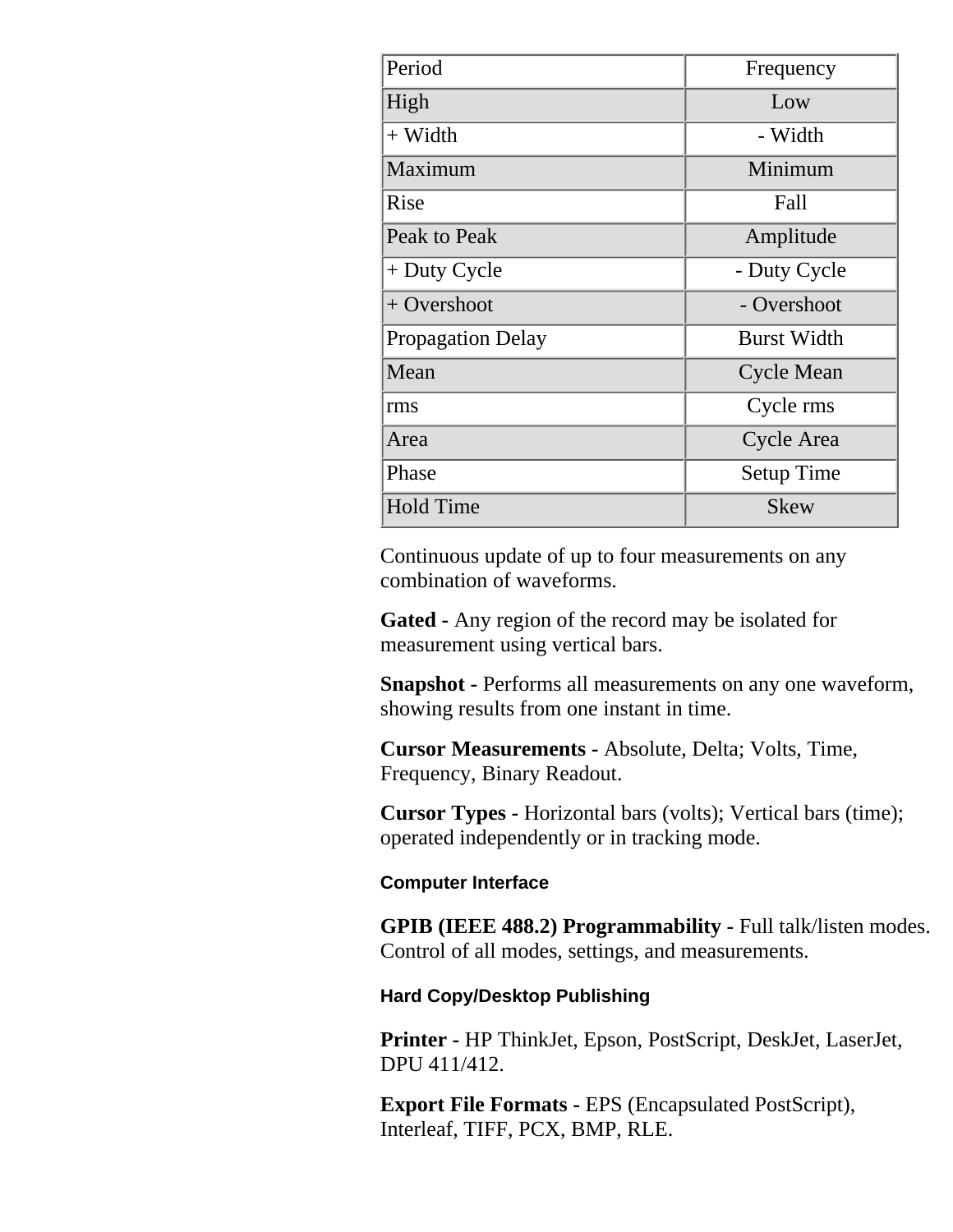| Period                   | Frequency          |  |
|--------------------------|--------------------|--|
| High                     | Low                |  |
| $+$ Width                | - Width            |  |
| Maximum                  | Minimum            |  |
| Rise                     | Fall               |  |
| Peak to Peak             | Amplitude          |  |
| $+$ Duty Cycle           | - Duty Cycle       |  |
| $+$ Overshoot            | - Overshoot        |  |
| <b>Propagation Delay</b> | <b>Burst Width</b> |  |
| Mean                     | <b>Cycle Mean</b>  |  |
| rms                      | Cycle rms          |  |
| Area                     | Cycle Area         |  |
| Phase                    | <b>Setup Time</b>  |  |
| <b>Hold Time</b>         | <b>Skew</b>        |  |

Continuous update of up to four measurements on any combination of waveforms.

**Gated -** Any region of the record may be isolated for measurement using vertical bars.

**Snapshot -** Performs all measurements on any one waveform, showing results from one instant in time.

**Cursor Measurements -** Absolute, Delta; Volts, Time, Frequency, Binary Readout.

**Cursor Types -** Horizontal bars (volts); Vertical bars (time); operated independently or in tracking mode.

#### **Computer Interface**

**GPIB (IEEE 488.2) Programmability - Full talk/listen modes.** Control of all modes, settings, and measurements.

#### **Hard Copy/Desktop Publishing**

**Printer -** HP ThinkJet, Epson, PostScript, DeskJet, LaserJet, DPU 411/412.

**Export File Formats -** EPS (Encapsulated PostScript), Interleaf, TIFF, PCX, BMP, RLE.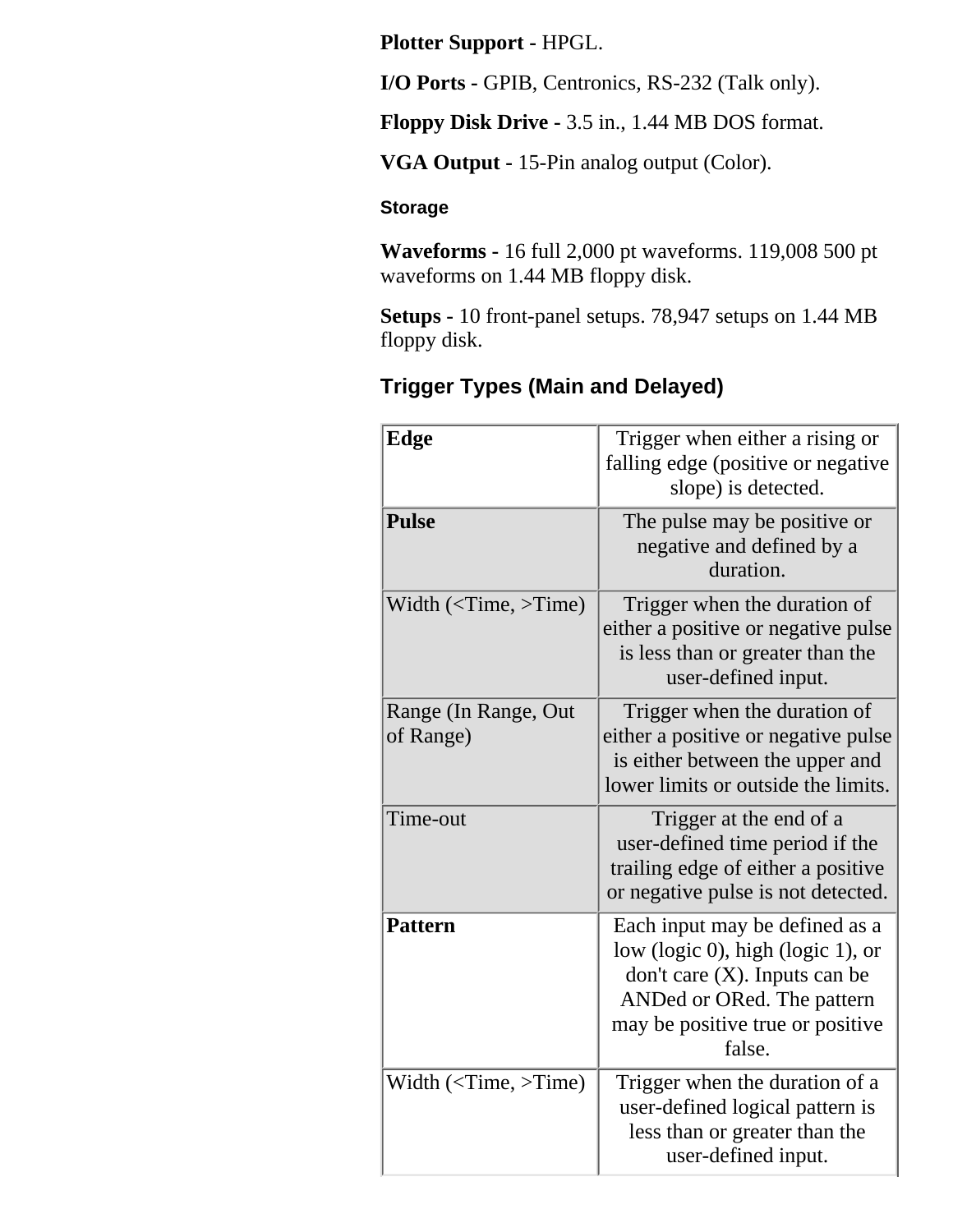**Plotter Support -** HPGL.

**I/O Ports -** GPIB, Centronics, RS-232 (Talk only).

**Floppy Disk Drive -** 3.5 in., 1.44 MB DOS format.

**VGA Output -** 15-Pin analog output (Color).

#### **Storage**

**Waveforms -** 16 full 2,000 pt waveforms. 119,008 500 pt waveforms on 1.44 MB floppy disk.

**Setups -** 10 front-panel setups. 78,947 setups on 1.44 MB floppy disk.

### **Trigger Types (Main and Delayed)**

| <b>Edge</b>                       | Trigger when either a rising or<br>falling edge (positive or negative<br>slope) is detected.                                                                                        |  |
|-----------------------------------|-------------------------------------------------------------------------------------------------------------------------------------------------------------------------------------|--|
| <b>Pulse</b>                      | The pulse may be positive or<br>negative and defined by a<br>duration.                                                                                                              |  |
| Width $(<$ Time, >Time)           | Trigger when the duration of<br>either a positive or negative pulse<br>is less than or greater than the<br>user-defined input.                                                      |  |
| Range (In Range, Out<br>of Range) | Trigger when the duration of<br>either a positive or negative pulse<br>is either between the upper and<br>lower limits or outside the limits.                                       |  |
| Time-out                          | Trigger at the end of a<br>user-defined time period if the<br>trailing edge of either a positive<br>or negative pulse is not detected.                                              |  |
| <b>Pattern</b>                    | Each input may be defined as a<br>low (logic 0), high (logic 1), or<br>don't care $(X)$ . Inputs can be<br>ANDed or ORed. The pattern<br>may be positive true or positive<br>false. |  |
| Width $(<$ Time, >Time)           | Trigger when the duration of a<br>user-defined logical pattern is<br>less than or greater than the<br>user-defined input.                                                           |  |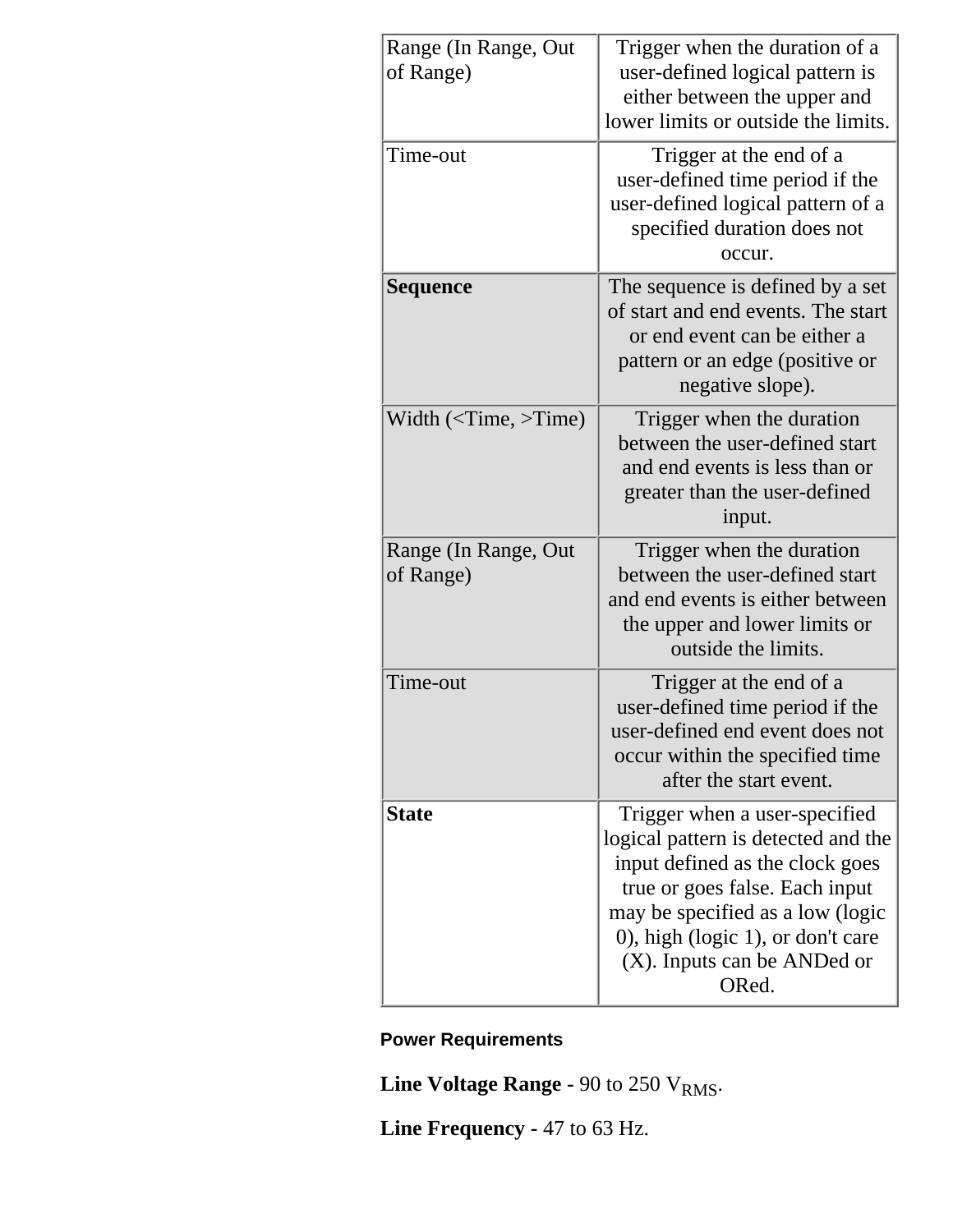| Range (In Range, Out)             | Trigger when the duration of a                                                                                                                                                                                                                             |  |  |
|-----------------------------------|------------------------------------------------------------------------------------------------------------------------------------------------------------------------------------------------------------------------------------------------------------|--|--|
| of Range)                         | user-defined logical pattern is<br>either between the upper and<br>lower limits or outside the limits.                                                                                                                                                     |  |  |
| Time-out                          | Trigger at the end of a<br>user-defined time period if the<br>user-defined logical pattern of a<br>specified duration does not<br>occur.                                                                                                                   |  |  |
| Sequence                          | The sequence is defined by a set<br>of start and end events. The start<br>or end event can be either a<br>pattern or an edge (positive or<br>negative slope).                                                                                              |  |  |
| Width $(<$ Time, >Time)           | Trigger when the duration<br>between the user-defined start<br>and end events is less than or<br>greater than the user-defined<br>input.                                                                                                                   |  |  |
| Range (In Range, Out<br>of Range) | Trigger when the duration<br>between the user-defined start<br>and end events is either between<br>the upper and lower limits or<br>outside the limits.                                                                                                    |  |  |
| Time-out                          | Trigger at the end of a<br>user-defined time period if the<br>user-defined end event does not<br>occur within the specified time<br>after the start event.                                                                                                 |  |  |
| <b>State</b>                      | Trigger when a user-specified<br>logical pattern is detected and the<br>input defined as the clock goes<br>true or goes false. Each input<br>may be specified as a low (logic<br>0), high (logic 1), or don't care<br>(X). Inputs can be ANDed or<br>ORed. |  |  |

## **Power Requirements**

**Line Voltage Range -**  $90$  **to 250 V<sub>RMS</sub>.** 

**Line Frequency -** 47 to 63 Hz.